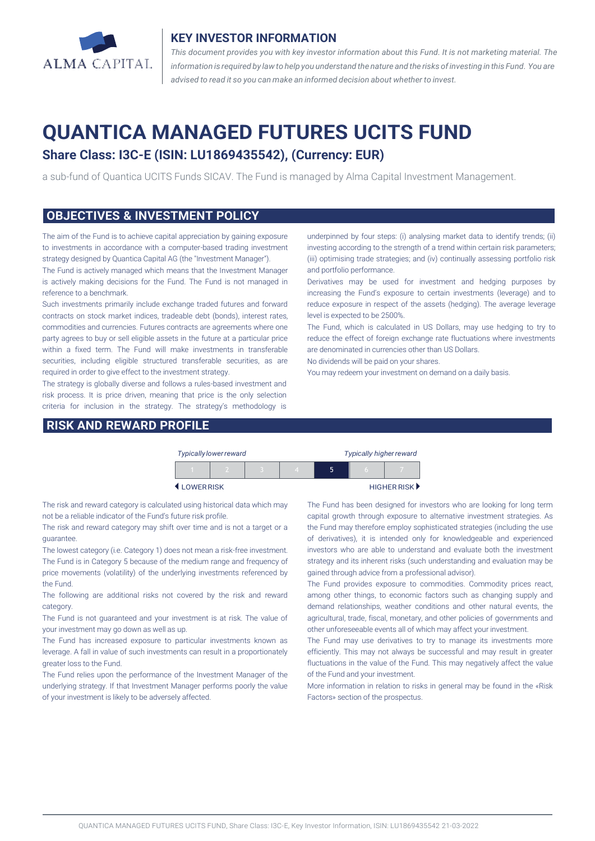

#### **KEY INVESTOR INFORMATION**

*This document provides you with key investor information about this Fund. It is not marketing material. The* information is required by law to help you understand the nature and the risks of investing in this Fund. You are *advised to read it so you can make an informed decision about whether to invest.*

# **QUANTICA MANAGED FUTURES UCITS FUND**

## **Share Class: I3C-E (ISIN: LU1869435542), (Currency: EUR)**

a sub-fund of Quantica UCITS Funds SICAV. The Fund is managed by Alma Capital Investment Management.

#### **OBJECTIVES & INVESTMENT POLICY**

The aim of the Fund is to achieve capital appreciation by gaining exposure to investments in accordance with a computer-based trading investment strategy designed by Quantica Capital AG (the "Investment Manager").

The Fund is actively managed which means that the Investment Manager is actively making decisions for the Fund. The Fund is not managed in reference to a benchmark.

Such investments primarily include exchange traded futures and forward contracts on stock market indices, tradeable debt (bonds), interest rates, commodities and currencies. Futures contracts are agreements where one party agrees to buy or sell eligible assets in the future at a particular price within a fixed term. The Fund will make investments in transferable securities, including eligible structured transferable securities, as are required in order to give effect to the investment strategy.

The strategy is globally diverse and follows a rules-based investment and risk process. It is price driven, meaning that price is the only selection criteria for inclusion in the strategy. The strategy's methodology is

#### **RISK AND REWARD PROFILE**

underpinned by four steps: (i) analysing market data to identify trends; (ii) investing according to the strength of a trend within certain risk parameters; (iii) optimising trade strategies; and (iv) continually assessing portfolio risk and portfolio performance.

Derivatives may be used for investment and hedging purposes by increasing the Fund's exposure to certain investments (leverage) and to reduce exposure in respect of the assets (hedging). The average leverage level is expected to be 2500%.

The Fund, which is calculated in US Dollars, may use hedging to try to reduce the effect of foreign exchange rate fluctuations where investments are denominated in currencies other than US Dollars.

No dividends will be paid on your shares.

You may redeem your investment on demand on a daily basis.

|           | <b>Typically lower reward</b> |  |  | <b>Typically higher reward</b> |             |  |
|-----------|-------------------------------|--|--|--------------------------------|-------------|--|
|           |                               |  |  | ה                              | n           |  |
| LOWERRISK |                               |  |  |                                | HIGHER RISK |  |

The risk and reward category is calculated using historical data which may not be a reliable indicator of the Fund's future risk profile.

The risk and reward category may shift over time and is not a target or a guarantee.

The lowest category (i.e. Category 1) does not mean a risk-free investment. The Fund is in Category 5 because of the medium range and frequency of price movements (volatility) of the underlying investments referenced by the Fund.

The following are additional risks not covered by the risk and reward category.

The Fund is not guaranteed and your investment is at risk. The value of your investment may go down as well as up.

The Fund has increased exposure to particular investments known as leverage. A fall in value of such investments can result in a proportionately greater loss to the Fund.

The Fund relies upon the performance of the Investment Manager of the underlying strategy. If that Investment Manager performs poorly the value of your investment is likely to be adversely affected.

The Fund has been designed for investors who are looking for long term capital growth through exposure to alternative investment strategies. As the Fund may therefore employ sophisticated strategies (including the use of derivatives), it is intended only for knowledgeable and experienced investors who are able to understand and evaluate both the investment strategy and its inherent risks (such understanding and evaluation may be gained through advice from a professional advisor).

The Fund provides exposure to commodities. Commodity prices react, among other things, to economic factors such as changing supply and demand relationships, weather conditions and other natural events, the agricultural, trade, fiscal, monetary, and other policies of governments and other unforeseeable events all of which may affect your investment.

The Fund may use derivatives to try to manage its investments more efficiently. This may not always be successful and may result in greater fluctuations in the value of the Fund. This may negatively affect the value of the Fund and your investment.

More information in relation to risks in general may be found in the «Risk Factors» section of the prospectus.